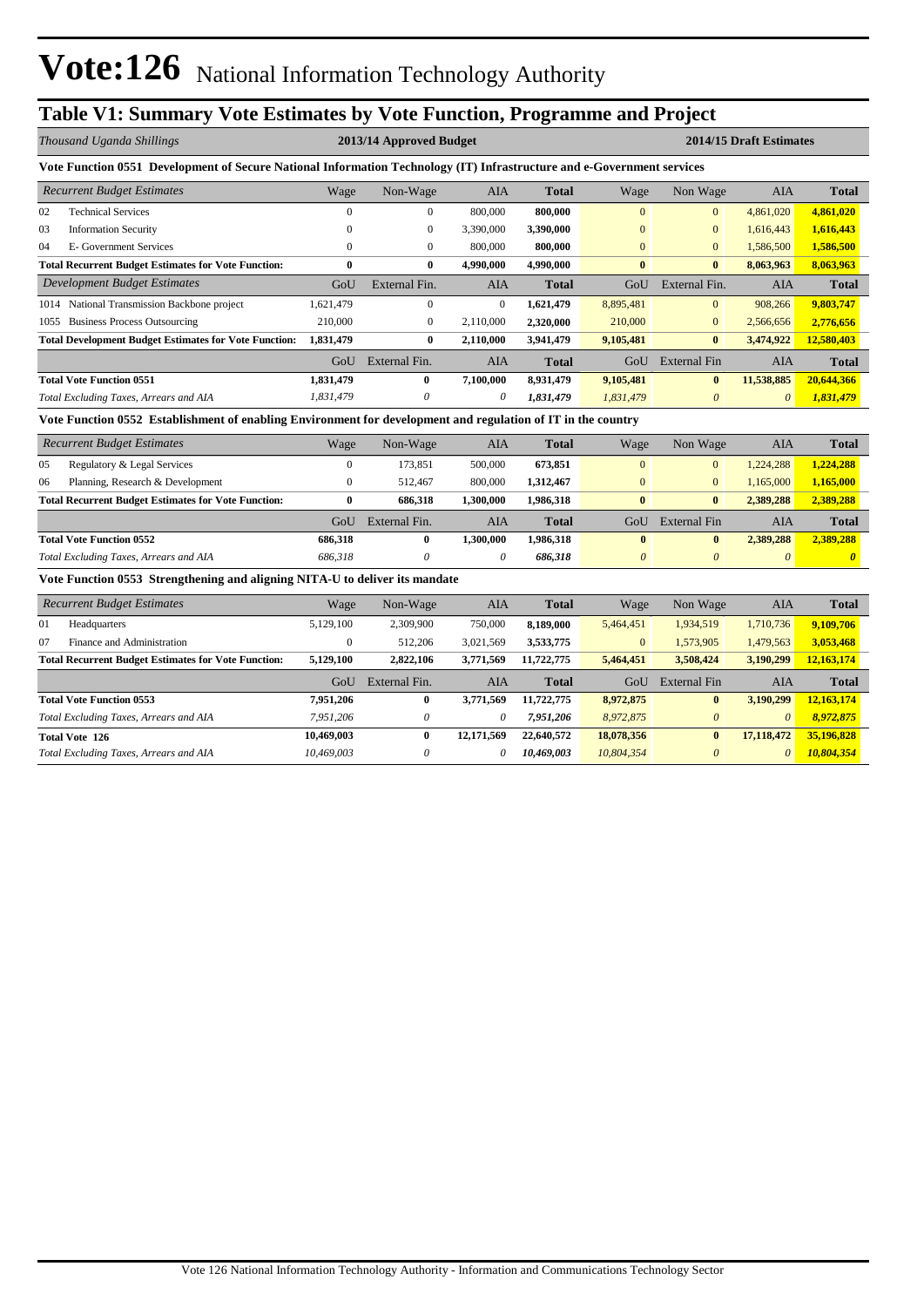## **Table V1: Summary Vote Estimates by Vote Function, Programme and Project**

|      | Thousand Uganda Shillings                                                                                              |              | 2013/14 Approved Budget |            |              |              | 2014/15 Draft Estimates |                       |              |  |  |  |
|------|------------------------------------------------------------------------------------------------------------------------|--------------|-------------------------|------------|--------------|--------------|-------------------------|-----------------------|--------------|--|--|--|
|      | Vote Function 0551 Development of Secure National Information Technology (IT) Infrastructure and e-Government services |              |                         |            |              |              |                         |                       |              |  |  |  |
|      | <b>Recurrent Budget Estimates</b>                                                                                      | Wage         | Non-Wage                | AIA        | <b>Total</b> | Wage         | Non Wage                | <b>AIA</b>            | <b>Total</b> |  |  |  |
| 02   | <b>Technical Services</b>                                                                                              |              | $\bf{0}$                | 800,000    | 800,000      | $\mathbf{0}$ | $\overline{0}$          | 4,861,020             | 4,861,020    |  |  |  |
| 03   | <b>Information Security</b>                                                                                            | $\Omega$     | $\mathbf{0}$            | 3,390,000  | 3,390,000    | $\mathbf{0}$ | $\overline{0}$          | 1,616,443             | 1,616,443    |  |  |  |
| 04   | E- Government Services                                                                                                 | $\mathbf{0}$ | $\overline{0}$          | 800,000    | 800,000      | $\mathbf{0}$ | $\overline{0}$          | 1,586,500             | 1,586,500    |  |  |  |
|      | <b>Total Recurrent Budget Estimates for Vote Function:</b>                                                             | $\bf{0}$     | $\bf{0}$                | 4,990,000  | 4,990,000    | $\bf{0}$     | $\bf{0}$                | 8,063,963             | 8,063,963    |  |  |  |
|      | Development Budget Estimates                                                                                           | GoU          | External Fin.           | <b>AIA</b> | <b>Total</b> | GoU          | External Fin.           | <b>AIA</b>            | <b>Total</b> |  |  |  |
|      | 1014 National Transmission Backbone project                                                                            | 1,621,479    | $\mathbf{0}$            | $\Omega$   | 1,621,479    | 8,895,481    | $\mathbf{0}$            | 908,266               | 9,803,747    |  |  |  |
| 1055 | <b>Business Process Outsourcing</b>                                                                                    | 210,000      | $\overline{0}$          | 2,110,000  | 2,320,000    | 210,000      | $\overline{0}$          | 2,566,656             | 2,776,656    |  |  |  |
|      | <b>Total Development Budget Estimates for Vote Function:</b>                                                           | 1,831,479    | $\bf{0}$                | 2,110,000  | 3,941,479    | 9,105,481    | $\bf{0}$                | 3,474,922             | 12,580,403   |  |  |  |
|      |                                                                                                                        | GoU          | External Fin.           | AIA        | <b>Total</b> | GoU          | External Fin            | <b>AIA</b>            | <b>Total</b> |  |  |  |
|      | <b>Total Vote Function 0551</b>                                                                                        | 1,831,479    | $\mathbf{0}$            | 7,100,000  | 8,931,479    | 9,105,481    | $\mathbf{0}$            | 11,538,885            | 20,644,366   |  |  |  |
|      | Total Excluding Taxes, Arrears and AIA                                                                                 | 1,831,479    | 0                       | 0          | 1,831,479    | 1,831,479    | $\theta$                | $\boldsymbol{\theta}$ | 1,831,479    |  |  |  |

**Vote Function 0552 Establishment of enabling Environment for development and regulation of IT in the country**

|                                                            | <b>Recurrent Budget Estimates</b>      | Wage    | Non-Wage      | AIA       | <b>Total</b> | Wage           | Non Wage       | AIA       | <b>Total</b> |
|------------------------------------------------------------|----------------------------------------|---------|---------------|-----------|--------------|----------------|----------------|-----------|--------------|
| 05                                                         | Regulatory & Legal Services            |         | 173.851       | 500,000   | 673,851      | $\overline{0}$ | $\Omega$       | 1.224.288 | 1,224,288    |
| 06                                                         | Planning, Research & Development       |         | 512.467       | 800,000   | 1,312,467    | $\overline{0}$ | $\overline{0}$ | 1.165.000 | 1,165,000    |
| <b>Total Recurrent Budget Estimates for Vote Function:</b> |                                        | 0       | 686,318       | .300.000  | 1.986.318    | $\bf{0}$       | $\mathbf{0}$   | 2.389,288 | 2,389,288    |
|                                                            |                                        | GoU     | External Fin. | AIA       | <b>Total</b> | GoU.           | External Fin   | AIA       | <b>Total</b> |
|                                                            | <b>Total Vote Function 0552</b>        | 686.318 |               | 1.300.000 | 1.986.318    | $\bf{0}$       |                | 2.389,288 | 2,389,288    |
|                                                            | Total Excluding Taxes, Arrears and AIA | 686.318 |               | $\theta$  | 686.318      | $\theta$       | $\theta$       | $\theta$  | $\theta$     |

#### **Vote Function 0553 Strengthening and aligning NITA-U to deliver its mandate**

|    | <b>Recurrent Budget Estimates</b>                          |            | Non-Wage      | <b>AIA</b> | <b>Total</b> | Wage           | Non Wage     | AIA        | <b>Total</b> |
|----|------------------------------------------------------------|------------|---------------|------------|--------------|----------------|--------------|------------|--------------|
| 01 | Headquarters                                               | 5,129,100  | 2,309,900     | 750,000    | 8,189,000    | 5,464,451      | 1,934,519    | 1,710,736  | 9,109,706    |
| 07 | Finance and Administration                                 | 0          | 512,206       | 3,021,569  | 3,533,775    | $\overline{0}$ | 1,573,905    | 1,479,563  | 3,053,468    |
|    | <b>Total Recurrent Budget Estimates for Vote Function:</b> | 5,129,100  | 2,822,106     | 3,771,569  | 11,722,775   | 5,464,451      | 3,508,424    | 3,190,299  | 12,163,174   |
|    |                                                            | GoU        | External Fin. | AIA        | <b>Total</b> | GoU            | External Fin | AIA        | <b>Total</b> |
|    | <b>Total Vote Function 0553</b>                            | 7,951,206  | $\bf{0}$      | 3,771,569  | 11,722,775   | 8,972,875      | $\bf{0}$     | 3.190.299  | 12,163,174   |
|    | Total Excluding Taxes, Arrears and AIA                     | 7.951.206  | 0             | 0          | 7,951,206    | 8,972,875      | $\theta$     | $\theta$   | 8,972,875    |
|    | <b>Total Vote 126</b>                                      | 10,469,003 | 0             | 12,171,569 | 22,640,572   | 18,078,356     | $\bf{0}$     | 17,118,472 | 35,196,828   |
|    | Total Excluding Taxes, Arrears and AIA                     | 10,469,003 | 0             | 0          | 10,469,003   | 10,804,354     | $\theta$     | $\theta$   | 10,804,354   |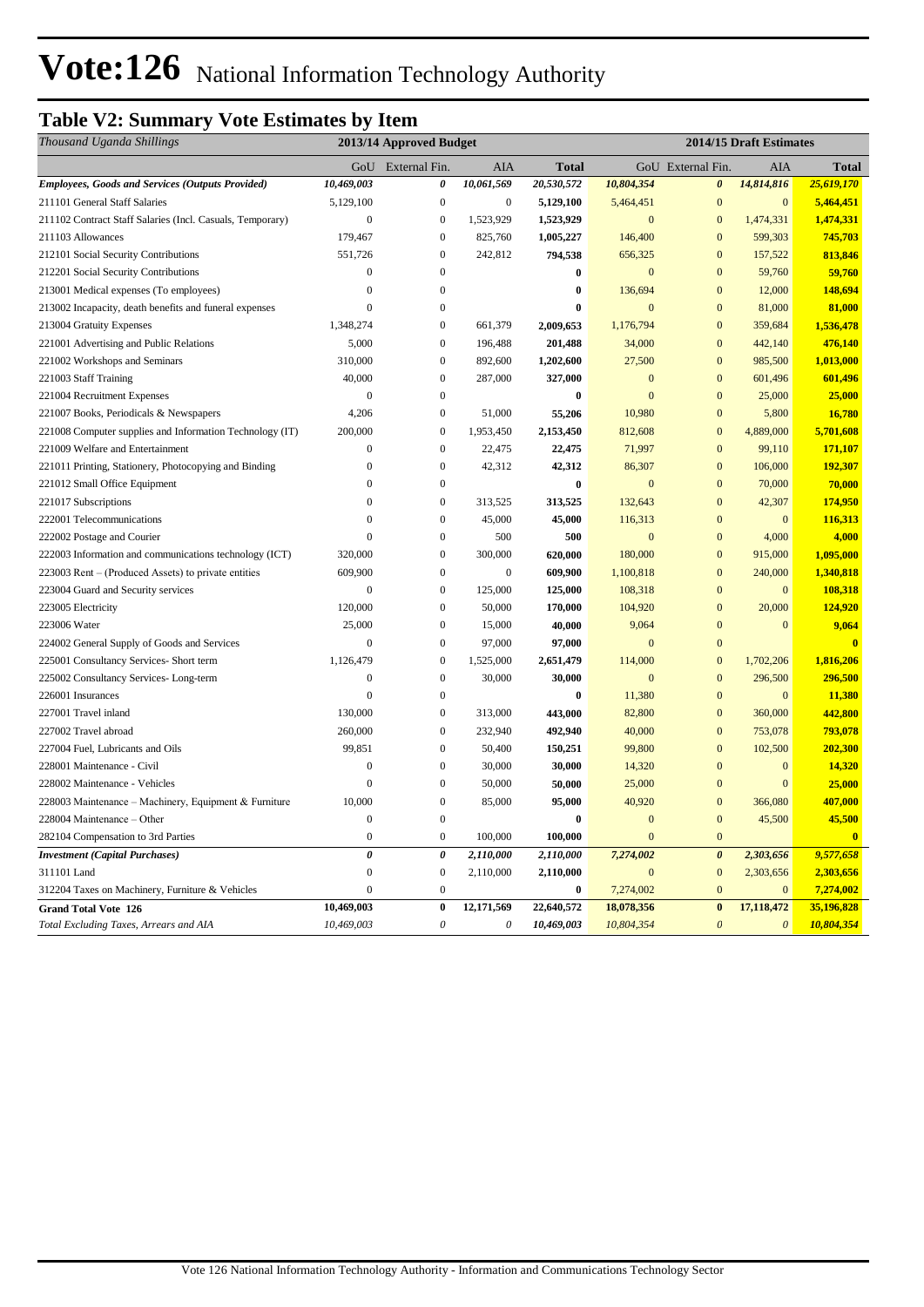## **Table V2: Summary Vote Estimates by Item**

| Thousand Uganda Shillings                                 |                       | 2013/14 Approved Budget |                           |                  | 2014/15 Draft Estimates |                       |                       |                         |
|-----------------------------------------------------------|-----------------------|-------------------------|---------------------------|------------------|-------------------------|-----------------------|-----------------------|-------------------------|
|                                                           |                       | GoU External Fin.       | AIA                       | <b>Total</b>     |                         | GoU External Fin.     | AIA                   | <b>Total</b>            |
| <b>Employees, Goods and Services (Outputs Provided)</b>   | 10,469,003            | 0                       | 10,061,569                | 20,530,572       | 10,804,354              | $\boldsymbol{\theta}$ | 14,814,816            | 25,619,170              |
| 211101 General Staff Salaries                             | 5,129,100             | $\boldsymbol{0}$        | $\boldsymbol{0}$          | 5,129,100        | 5,464,451               | $\mathbf{0}$          | $\mathbf{0}$          | 5,464,451               |
| 211102 Contract Staff Salaries (Incl. Casuals, Temporary) | $\boldsymbol{0}$      | $\boldsymbol{0}$        | 1,523,929                 | 1,523,929        | $\boldsymbol{0}$        | $\mathbf{0}$          | 1,474,331             | 1,474,331               |
| 211103 Allowances                                         | 179,467               | $\boldsymbol{0}$        | 825,760                   | 1,005,227        | 146,400                 | $\overline{0}$        | 599,303               | 745,703                 |
| 212101 Social Security Contributions                      | 551,726               | $\boldsymbol{0}$        | 242,812                   | 794,538          | 656,325                 | $\overline{0}$        | 157,522               | 813,846                 |
| 212201 Social Security Contributions                      | $\overline{0}$        | $\mathbf{0}$            |                           | $\bf{0}$         | $\mathbf{0}$            | $\overline{0}$        | 59,760                | 59,760                  |
| 213001 Medical expenses (To employees)                    | $\boldsymbol{0}$      | $\boldsymbol{0}$        |                           | $\bf{0}$         | 136,694                 | $\mathbf{0}$          | 12,000                | 148,694                 |
| 213002 Incapacity, death benefits and funeral expenses    | $\mathbf{0}$          | 0                       |                           | $\boldsymbol{0}$ | $\mathbf{0}$            | $\mathbf{0}$          | 81,000                | 81,000                  |
| 213004 Gratuity Expenses                                  | 1,348,274             | $\boldsymbol{0}$        | 661,379                   | 2,009,653        | 1,176,794               | $\mathbf{0}$          | 359,684               | 1,536,478               |
| 221001 Advertising and Public Relations                   | 5,000                 | $\mathbf{0}$            | 196,488                   | 201,488          | 34,000                  | $\overline{0}$        | 442,140               | 476,140                 |
| 221002 Workshops and Seminars                             | 310,000               | $\boldsymbol{0}$        | 892,600                   | 1,202,600        | 27,500                  | $\mathbf{0}$          | 985,500               | 1,013,000               |
| 221003 Staff Training                                     | 40,000                | $\mathbf{0}$            | 287,000                   | 327,000          | $\overline{0}$          | $\overline{0}$        | 601,496               | 601,496                 |
| 221004 Recruitment Expenses                               | $\boldsymbol{0}$      | $\boldsymbol{0}$        |                           | $\bf{0}$         | $\mathbf{0}$            | $\mathbf{0}$          | 25,000                | 25,000                  |
| 221007 Books, Periodicals & Newspapers                    | 4,206                 | $\boldsymbol{0}$        | 51,000                    | 55,206           | 10,980                  | $\mathbf{0}$          | 5,800                 | 16,780                  |
| 221008 Computer supplies and Information Technology (IT)  | 200,000               | $\boldsymbol{0}$        | 1,953,450                 | 2,153,450        | 812,608                 | $\overline{0}$        | 4,889,000             | 5,701,608               |
| 221009 Welfare and Entertainment                          | $\mathbf{0}$          | $\boldsymbol{0}$        | 22,475                    | 22,475           | 71,997                  | $\overline{0}$        | 99,110                | 171,107                 |
| 221011 Printing, Stationery, Photocopying and Binding     | $\overline{0}$        | $\boldsymbol{0}$        | 42,312                    | 42,312           | 86,307                  | $\overline{0}$        | 106,000               | 192,307                 |
| 221012 Small Office Equipment                             | $\mathbf{0}$          | $\mathbf{0}$            |                           | $\bf{0}$         | $\mathbf{0}$            | $\overline{0}$        | 70,000                | 70,000                  |
| 221017 Subscriptions                                      | $\mathbf{0}$          | $\boldsymbol{0}$        | 313,525                   | 313,525          | 132,643                 | $\mathbf{0}$          | 42,307                | 174,950                 |
| 222001 Telecommunications                                 | $\overline{0}$        | $\boldsymbol{0}$        | 45,000                    | 45,000           | 116,313                 | $\mathbf{0}$          | $\mathbf{0}$          | 116,313                 |
| 222002 Postage and Courier                                | $\mathbf{0}$          | $\boldsymbol{0}$        | 500                       | 500              | $\mathbf{0}$            | $\overline{0}$        | 4,000                 | 4,000                   |
| 222003 Information and communications technology (ICT)    | 320,000               | $\boldsymbol{0}$        | 300,000                   | 620,000          | 180,000                 | $\mathbf{0}$          | 915,000               | 1,095,000               |
| 223003 Rent – (Produced Assets) to private entities       | 609,900               | $\overline{0}$          | $\mathbf{0}$              | 609,900          | 1,100,818               | $\mathbf{0}$          | 240,000               | 1,340,818               |
| 223004 Guard and Security services                        | $\boldsymbol{0}$      | $\boldsymbol{0}$        | 125,000                   | 125,000          | 108,318                 | $\mathbf{0}$          | $\mathbf{0}$          | 108,318                 |
| 223005 Electricity                                        | 120,000               | $\bf{0}$                | 50,000                    | 170,000          | 104,920                 | $\mathbf{0}$          | 20,000                | 124,920                 |
| 223006 Water                                              | 25,000                | $\boldsymbol{0}$        | 15,000                    | 40,000           | 9,064                   | $\mathbf{0}$          | $\mathbf{0}$          | 9,064                   |
| 224002 General Supply of Goods and Services               | $\mathbf{0}$          | $\boldsymbol{0}$        | 97,000                    | 97,000           | $\mathbf{0}$            | $\overline{0}$        |                       | $\overline{0}$          |
| 225001 Consultancy Services- Short term                   | 1,126,479             | $\boldsymbol{0}$        | 1,525,000                 | 2,651,479        | 114,000                 | $\mathbf{0}$          | 1,702,206             | 1,816,206               |
| 225002 Consultancy Services-Long-term                     | $\boldsymbol{0}$      | $\boldsymbol{0}$        | 30,000                    | 30,000           | $\mathbf{0}$            | $\mathbf{0}$          | 296,500               | 296,500                 |
| 226001 Insurances                                         | $\overline{0}$        | $\boldsymbol{0}$        |                           | $\bf{0}$         | 11,380                  | $\mathbf{0}$          | $\mathbf{0}$          | 11,380                  |
| 227001 Travel inland                                      | 130,000               | $\boldsymbol{0}$        | 313,000                   | 443,000          | 82,800                  | $\mathbf{0}$          | 360,000               | 442,800                 |
| 227002 Travel abroad                                      | 260,000               | $\boldsymbol{0}$        | 232,940                   | 492,940          | 40,000                  | $\mathbf{0}$          | 753,078               | 793,078                 |
| 227004 Fuel, Lubricants and Oils                          | 99,851                | $\boldsymbol{0}$        | 50,400                    | 150,251          | 99,800                  | $\mathbf{0}$          | 102,500               | 202,300                 |
| 228001 Maintenance - Civil                                | $\boldsymbol{0}$      | $\overline{0}$          | 30,000                    | 30,000           | 14,320                  | $\overline{0}$        | $\boldsymbol{0}$      | 14,320                  |
| 228002 Maintenance - Vehicles                             | $\mathbf{0}$          | $\boldsymbol{0}$        | 50,000                    | 50,000           | 25,000                  | $\mathbf{0}$          | $\mathbf{0}$          | 25,000                  |
| 228003 Maintenance – Machinery, Equipment & Furniture     | 10,000                | $\boldsymbol{0}$        | 85,000                    | 95,000           | 40,920                  | $\mathbf{0}$          | 366,080               | 407,000                 |
| 228004 Maintenance - Other                                | $\mathbf{0}$          | $\boldsymbol{0}$        |                           | $\bf{0}$         | $\mathbf{0}$            | $\mathbf{0}$          | 45,500                | 45,500                  |
| 282104 Compensation to 3rd Parties                        | $\mathbf{0}$          | $\boldsymbol{0}$        | 100,000                   | 100,000          | $\mathbf{0}$            | $\overline{0}$        |                       | $\overline{\mathbf{0}}$ |
| <b>Investment</b> (Capital Purchases)                     | $\boldsymbol{\theta}$ | $\pmb{\theta}$          | 2,110,000                 | 2,110,000        | 7,274,002               | $\boldsymbol{\theta}$ | 2,303,656             | 9,577,658               |
| 311101 Land                                               | $\overline{0}$        | $\theta$                | 2,110,000                 | 2,110,000        | $\overline{0}$          | $\mathbf{0}$          | 2,303,656             | 2,303,656               |
| 312204 Taxes on Machinery, Furniture & Vehicles           | $\boldsymbol{0}$      | $\boldsymbol{0}$        |                           | $\bf{0}$         | 7,274,002               | $\mathbf{0}$          | $\bf{0}$              | 7,274,002               |
| <b>Grand Total Vote 126</b>                               | 10,469,003            | $\bf{0}$                | 12,171,569                | 22,640,572       | 18,078,356              | $\bf{0}$              | 17,118,472            | 35,196,828              |
| Total Excluding Taxes, Arrears and AIA                    | 10,469,003            | $\mathcal O$            | $\boldsymbol{\mathit{0}}$ | 10,469,003       | 10,804,354              | $\boldsymbol{\theta}$ | $\boldsymbol{\theta}$ | 10,804,354              |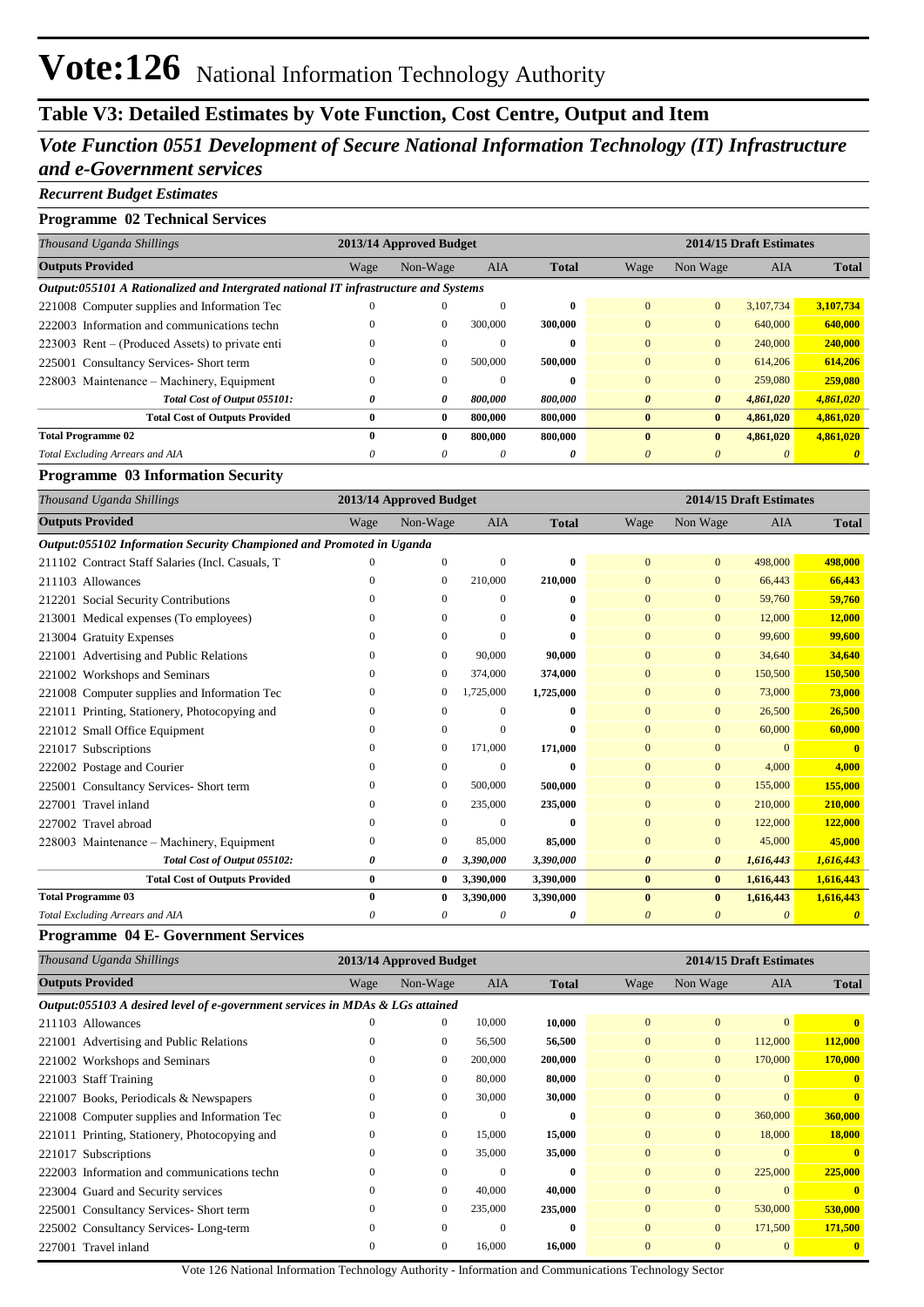## **Table V3: Detailed Estimates by Vote Function, Cost Centre, Output and Item**

## *Vote Function 0551 Development of Secure National Information Technology (IT) Infrastructure and e-Government services*

#### *Recurrent Budget Estimates*

### **Programme 02 Technical Services**

| Thousand Uganda Shillings                                                           | 2013/14 Approved Budget |              |          |              | 2014/15 Draft Estimates |                       |            |              |  |  |
|-------------------------------------------------------------------------------------|-------------------------|--------------|----------|--------------|-------------------------|-----------------------|------------|--------------|--|--|
| <b>Outputs Provided</b>                                                             | Wage                    | Non-Wage     | AIA      | <b>Total</b> | Wage                    | Non Wage              | <b>AIA</b> | <b>Total</b> |  |  |
| Output:055101 A Rationalized and Intergrated national IT infrastructure and Systems |                         |              |          |              |                         |                       |            |              |  |  |
| 221008 Computer supplies and Information Tec                                        | $\theta$                | 0            | $\Omega$ | $\bf{0}$     | $\Omega$                | $\overline{0}$        | 3.107.734  | 3,107,734    |  |  |
| 222003 Information and communications techn                                         | $\theta$                | $\mathbf{0}$ | 300,000  | 300,000      | $\Omega$                | $\Omega$              | 640,000    | 640,000      |  |  |
| 223003 Rent – (Produced Assets) to private enti-                                    | 0                       | $\mathbf{0}$ | $\Omega$ | $\mathbf{0}$ | $\Omega$                | $\Omega$              | 240,000    | 240,000      |  |  |
| 225001 Consultancy Services- Short term                                             | $\theta$                | $\mathbf{0}$ | 500,000  | 500,000      | $\Omega$                | $\Omega$              | 614,206    | 614,206      |  |  |
| 228003 Maintenance – Machinery, Equipment                                           | 0                       | $\mathbf{0}$ | $\Omega$ | $\mathbf{0}$ | $\Omega$                | $\Omega$              | 259,080    | 259,080      |  |  |
| Total Cost of Output 055101:                                                        | 0                       | 0            | 800,000  | 800,000      | $\theta$                | $\boldsymbol{\theta}$ | 4,861,020  | 4,861,020    |  |  |
| <b>Total Cost of Outputs Provided</b>                                               | 0                       | $\bf{0}$     | 800,000  | 800,000      | $\mathbf{0}$            | $\bf{0}$              | 4,861,020  | 4,861,020    |  |  |
| <b>Total Programme 02</b>                                                           | 0                       | 0            | 800,000  | 800,000      | $\mathbf{0}$            | $\mathbf{0}$          | 4,861,020  | 4,861,020    |  |  |
| Total Excluding Arrears and AIA                                                     | 0                       | 0            | $\theta$ | 0            | 0                       |                       | 0          |              |  |  |

#### **Programme 03 Information Security**

| Thousand Uganda Shillings                                            |              | 2013/14 Approved Budget |            |              | 2014/15 Draft Estimates |                       |            |              |
|----------------------------------------------------------------------|--------------|-------------------------|------------|--------------|-------------------------|-----------------------|------------|--------------|
| <b>Outputs Provided</b>                                              | Wage         | Non-Wage                | <b>AIA</b> | <b>Total</b> | Wage                    | Non Wage              | <b>AIA</b> | <b>Total</b> |
| Output:055102 Information Security Championed and Promoted in Uganda |              |                         |            |              |                         |                       |            |              |
| 211102 Contract Staff Salaries (Incl. Casuals, T                     |              | $\Omega$                | $\Omega$   | $\bf{0}$     | $\overline{0}$          | $\mathbf{0}$          | 498,000    | 498,000      |
| 211103 Allowances                                                    | $\Omega$     | $\mathbf{0}$            | 210,000    | 210,000      | $\overline{0}$          | $\mathbf{0}$          | 66,443     | 66,443       |
| 212201 Social Security Contributions                                 | $\Omega$     | $\Omega$                | 0          | $\bf{0}$     | $\overline{0}$          | $\mathbf{0}$          | 59,760     | 59,760       |
| 213001 Medical expenses (To employees)                               | $\Omega$     | $\Omega$                | 0          | $\bf{0}$     | $\overline{0}$          | $\mathbf{0}$          | 12,000     | 12,000       |
| 213004 Gratuity Expenses                                             |              | $\Omega$                | $\Omega$   | $\mathbf{0}$ | $\overline{0}$          | $\mathbf{0}$          | 99,600     | 99,600       |
| 221001 Advertising and Public Relations                              |              | $\mathbf{0}$            | 90,000     | 90,000       | $\mathbf{0}$            | $\mathbf{0}$          | 34,640     | 34,640       |
| 221002 Workshops and Seminars                                        | $\Omega$     | $\mathbf{0}$            | 374,000    | 374,000      | $\Omega$                | $\mathbf{0}$          | 150,500    | 150,500      |
| 221008 Computer supplies and Information Tec                         | $\Omega$     | $\mathbf{0}$            | 1,725,000  | 1,725,000    | $\overline{0}$          | $\mathbf{0}$          | 73,000     | 73,000       |
| 221011 Printing, Stationery, Photocopying and                        | 0            | $\Omega$                | $\Omega$   | $\mathbf{0}$ | $\overline{0}$          | $\mathbf{0}$          | 26,500     | 26,500       |
| 221012 Small Office Equipment                                        | 0            | $\Omega$                | $\Omega$   | $\mathbf{0}$ | $\mathbf{0}$            | $\mathbf{0}$          | 60,000     | 60,000       |
| 221017 Subscriptions                                                 |              | $\mathbf{0}$            | 171,000    | 171,000      | $\overline{0}$          | $\mathbf{0}$          | $\Omega$   | $\mathbf{0}$ |
| 222002 Postage and Courier                                           | 0            | $\mathbf{0}$            | $\Omega$   | $\mathbf{0}$ | $\Omega$                | $\mathbf{0}$          | 4,000      | 4.000        |
| 225001 Consultancy Services- Short term                              | $\Omega$     | $\mathbf{0}$            | 500,000    | 500,000      | $\Omega$                | $\mathbf{0}$          | 155,000    | 155,000      |
| 227001 Travel inland                                                 | $\Omega$     | $\mathbf{0}$            | 235,000    | 235,000      | $\overline{0}$          | $\mathbf{0}$          | 210,000    | 210,000      |
| 227002 Travel abroad                                                 | $\Omega$     | $\Omega$                | $\Omega$   | $\mathbf{0}$ | $\mathbf{0}$            | $\mathbf{0}$          | 122,000    | 122,000      |
| 228003 Maintenance – Machinery, Equipment                            | $\mathbf{0}$ | $\mathbf{0}$            | 85,000     | 85,000       | $\mathbf{0}$            | $\mathbf{0}$          | 45,000     | 45,000       |
| Total Cost of Output 055102:                                         | 0            | 0                       | 3,390,000  | 3,390,000    | $\boldsymbol{\theta}$   | $\boldsymbol{\theta}$ | 1,616,443  | 1,616,443    |
| <b>Total Cost of Outputs Provided</b>                                | $\bf{0}$     | $\bf{0}$                | 3,390,000  | 3,390,000    | $\bf{0}$                | $\mathbf{0}$          | 1,616,443  | 1,616,443    |
| <b>Total Programme 03</b>                                            | $\bf{0}$     | $\bf{0}$                | 3,390,000  | 3,390,000    | $\mathbf{0}$            | $\bf{0}$              | 1,616,443  | 1,616,443    |
| Total Excluding Arrears and AIA                                      | 0            | 0                       | 0          | 0            | 0                       | 0                     | 0          |              |

#### **Programme 04 E- Government Services**

| Thousand Uganda Shillings                                                     |          | 2013/14 Approved Budget |            |              | 2014/15 Draft Estimates |              |                |              |
|-------------------------------------------------------------------------------|----------|-------------------------|------------|--------------|-------------------------|--------------|----------------|--------------|
| <b>Outputs Provided</b>                                                       | Wage     | Non-Wage                | <b>AIA</b> | <b>Total</b> | Wage                    | Non Wage     | <b>AIA</b>     | <b>Total</b> |
| Output:055103 A desired level of e-government services in MDAs & LGs attained |          |                         |            |              |                         |              |                |              |
| 211103 Allowances                                                             | $\theta$ | $\mathbf{0}$            | 10,000     | 10,000       | $\overline{0}$          | $\mathbf{0}$ | $\overline{0}$ |              |
| 221001 Advertising and Public Relations                                       | $\Omega$ | $\mathbf{0}$            | 56,500     | 56,500       | $\overline{0}$          | $\mathbf{0}$ | 112,000        | 112,000      |
| 221002 Workshops and Seminars                                                 |          | $\mathbf{0}$            | 200,000    | 200,000      | $\overline{0}$          | $\mathbf{0}$ | 170,000        | 170,000      |
| 221003 Staff Training                                                         | $\Omega$ | $\mathbf{0}$            | 80,000     | 80,000       | $\overline{0}$          | $\mathbf{0}$ | $\Omega$       |              |
| 221007 Books, Periodicals & Newspapers                                        | $\bf{0}$ | $\mathbf{0}$            | 30,000     | 30,000       | $\overline{0}$          | $\mathbf{0}$ | $\Omega$       | $\mathbf{0}$ |
| 221008 Computer supplies and Information Tec                                  | $\Omega$ | $\mathbf{0}$            | $\Omega$   | $\bf{0}$     | $\overline{0}$          | $\mathbf{0}$ | 360,000        | 360,000      |
| 221011 Printing, Stationery, Photocopying and                                 | $\Omega$ | $\mathbf{0}$            | 15,000     | 15,000       | $\mathbf{0}$            | $\mathbf{0}$ | 18,000         | 18,000       |
| 221017 Subscriptions                                                          | $\Omega$ | $\mathbf{0}$            | 35,000     | 35,000       | $\Omega$                | $\mathbf{0}$ | $\Omega$       |              |
| 222003 Information and communications techn                                   | $\theta$ | $\Omega$                | $\Omega$   | $\bf{0}$     | $\Omega$                | $\mathbf{0}$ | 225,000        | 225,000      |
| 223004 Guard and Security services                                            | $\Omega$ | $\mathbf{0}$            | 40,000     | 40,000       | $\Omega$                | $\Omega$     | $\Omega$       | $\mathbf{0}$ |
| 225001 Consultancy Services-Short term                                        | $\Omega$ | $\mathbf{0}$            | 235,000    | 235,000      | $\Omega$                | $\mathbf{0}$ | 530,000        | 530,000      |
| 225002 Consultancy Services-Long-term                                         | $\Omega$ | $\Omega$                | $\Omega$   | $\bf{0}$     | $\overline{0}$          | $\mathbf{0}$ | 171,500        | 171,500      |
| 227001 Travel inland                                                          | $\Omega$ | $\mathbf{0}$            | 16,000     | 16,000       | $\Omega$                | $\mathbf{0}$ | $\Omega$       | $\mathbf{0}$ |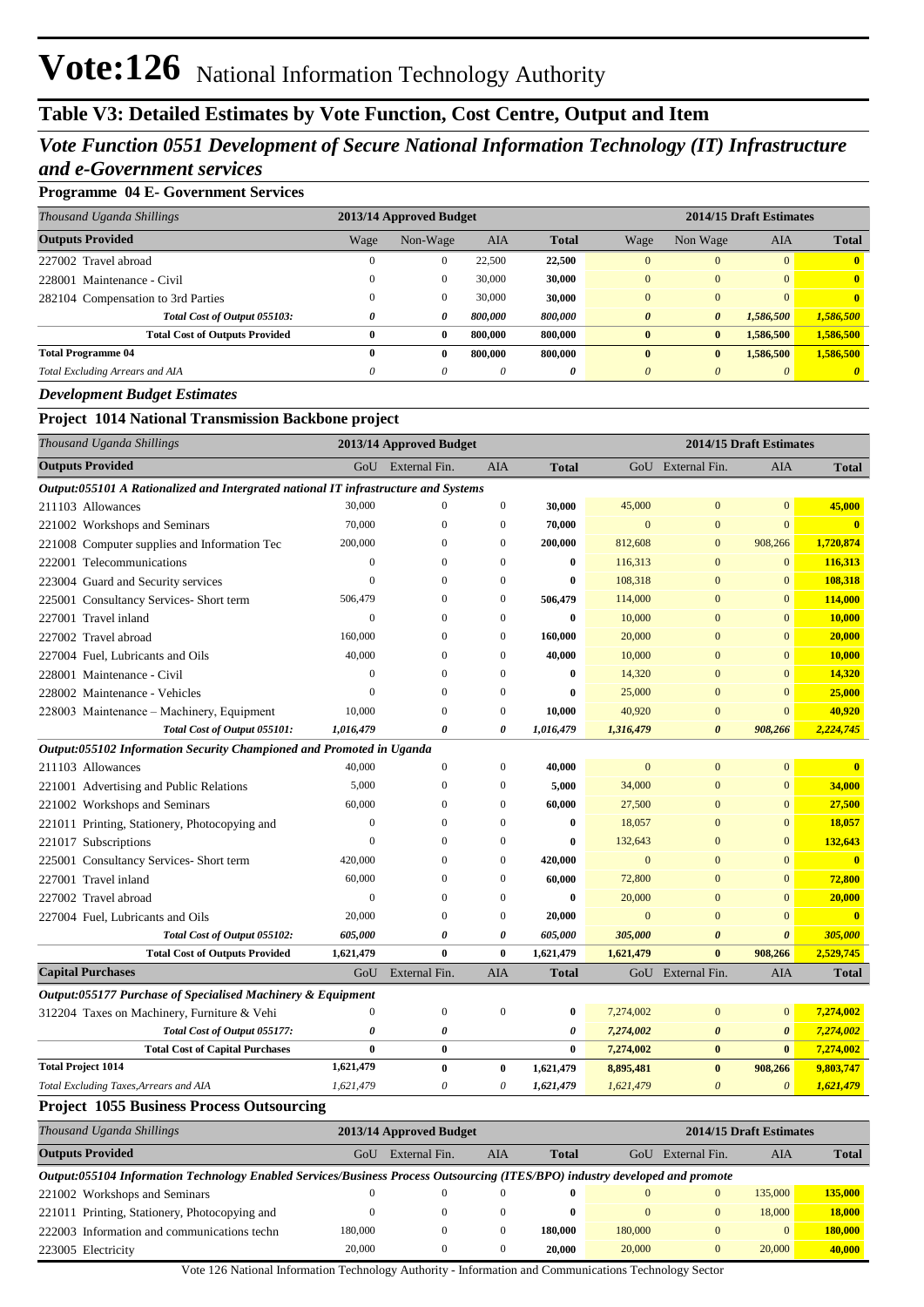## **Table V3: Detailed Estimates by Vote Function, Cost Centre, Output and Item**

## *Vote Function 0551 Development of Secure National Information Technology (IT) Infrastructure and e-Government services*

### **Programme 04 E- Government Services**

| Thousand Uganda Shillings             |      | 2013/14 Approved Budget |            |              | 2014/15 Draft Estimates |                       |            |              |  |
|---------------------------------------|------|-------------------------|------------|--------------|-------------------------|-----------------------|------------|--------------|--|
| <b>Outputs Provided</b>               | Wage | Non-Wage                | <b>AIA</b> | <b>Total</b> | Wage                    | Non Wage              | <b>AIA</b> | <b>Total</b> |  |
| 227002 Travel abroad                  |      | $\mathbf{0}$            | 22,500     | 22,500       | $\Omega$                | $\Omega$              | $\Omega$   | $\mathbf{0}$ |  |
| 228001 Maintenance - Civil            |      | $\mathbf{0}$            | 30,000     | 30,000       | $\Omega$                | $\Omega$              | $\Omega$   | $\mathbf{0}$ |  |
| 282104 Compensation to 3rd Parties    |      | $\mathbf{0}$            | 30,000     | 30,000       | $\Omega$                | $\Omega$              | $\Omega$   | $\mathbf{0}$ |  |
| Total Cost of Output 055103:          | 0    | 0                       | 800.000    | 800,000      | $\theta$                | $\boldsymbol{\theta}$ | 1.586,500  | 1,586,500    |  |
| <b>Total Cost of Outputs Provided</b> | 0    | $\bf{0}$                | 800.000    | 800,000      | $\mathbf{0}$            | $\mathbf{0}$          | 1,586,500  | 1,586,500    |  |
| <b>Total Programme 04</b>             | 0    | $\bf{0}$                | 800,000    | 800,000      | $\mathbf{0}$            | $\bf{0}$              | 1,586,500  | 1,586,500    |  |
| Total Excluding Arrears and AIA       | 0    | $\theta$                | $\theta$   | 0            | $\theta$                | $\theta$              | $\theta$   |              |  |

#### *Development Budget Estimates*

### **Project 1014 National Transmission Backbone project**

| Thousand Uganda Shillings                                                           |                | 2013/14 Approved Budget |                  | 2014/15 Draft Estimates |                |                       |                       |                         |
|-------------------------------------------------------------------------------------|----------------|-------------------------|------------------|-------------------------|----------------|-----------------------|-----------------------|-------------------------|
| <b>Outputs Provided</b>                                                             |                | GoU External Fin.       | <b>AIA</b>       | <b>Total</b>            |                | GoU External Fin.     | <b>AIA</b>            | <b>Total</b>            |
| Output:055101 A Rationalized and Intergrated national IT infrastructure and Systems |                |                         |                  |                         |                |                       |                       |                         |
| 211103 Allowances                                                                   | 30,000         | $\mathbf{0}$            | $\boldsymbol{0}$ | 30,000                  | 45,000         | $\mathbf{0}$          | $\overline{0}$        | 45,000                  |
| 221002 Workshops and Seminars                                                       | 70,000         | $\Omega$                | $\mathbf{0}$     | 70,000                  | $\overline{0}$ | $\overline{0}$        | $\overline{0}$        | $\mathbf{0}$            |
| 221008 Computer supplies and Information Tec                                        | 200,000        | $\mathbf{0}$            | $\mathbf{0}$     | 200,000                 | 812,608        | $\mathbf{0}$          | 908,266               | 1,720,874               |
| 222001 Telecommunications                                                           | $\mathbf{0}$   | $\Omega$                | $\mathbf{0}$     | 0                       | 116,313        | $\mathbf{0}$          | $\overline{0}$        | 116,313                 |
| 223004 Guard and Security services                                                  | $\theta$       | $\Omega$                | $\theta$         | $\bf{0}$                | 108,318        | $\overline{0}$        | $\mathbf{0}$          | 108,318                 |
| 225001 Consultancy Services- Short term                                             | 506,479        | $\Omega$                | $\mathbf{0}$     | 506,479                 | 114,000        | $\overline{0}$        | $\overline{0}$        | 114,000                 |
| 227001 Travel inland                                                                | $\overline{0}$ | $\mathbf{0}$            | $\mathbf{0}$     | 0                       | 10,000         | $\mathbf{0}$          | $\mathbf{0}$          | 10,000                  |
| 227002 Travel abroad                                                                | 160,000        | $\mathbf{0}$            | $\mathbf{0}$     | 160,000                 | 20,000         | $\boldsymbol{0}$      | $\mathbf{0}$          | 20,000                  |
| 227004 Fuel, Lubricants and Oils                                                    | 40,000         | $\mathbf{0}$            | $\mathbf{0}$     | 40,000                  | 10,000         | $\mathbf{0}$          | $\overline{0}$        | 10,000                  |
| 228001 Maintenance - Civil                                                          | $\mathbf{0}$   | $\mathbf{0}$            | $\Omega$         | $\bf{0}$                | 14,320         | $\overline{0}$        | $\overline{0}$        | 14,320                  |
| 228002 Maintenance - Vehicles                                                       | $\mathbf{0}$   | $\mathbf{0}$            | $\Omega$         | $\bf{0}$                | 25,000         | $\mathbf{0}$          | $\mathbf{0}$          | 25,000                  |
| 228003 Maintenance – Machinery, Equipment                                           | 10,000         | $\mathbf{0}$            | $\mathbf{0}$     | 10,000                  | 40,920         | $\mathbf{0}$          | $\mathbf{0}$          | 40,920                  |
| Total Cost of Output 055101:                                                        | 1,016,479      | 0                       | 0                | 1,016,479               | 1,316,479      | 0                     | 908,266               | 2,224,745               |
| Output:055102 Information Security Championed and Promoted in Uganda                |                |                         |                  |                         |                |                       |                       |                         |
| 211103 Allowances                                                                   | 40,000         | $\overline{0}$          | $\mathbf{0}$     | 40,000                  | $\overline{0}$ | $\overline{0}$        | $\overline{0}$        | $\mathbf{0}$            |
| 221001 Advertising and Public Relations                                             | 5,000          | $\mathbf{0}$            | $\mathbf{0}$     | 5,000                   | 34,000         | $\overline{0}$        | $\mathbf{0}$          | 34,000                  |
| 221002 Workshops and Seminars                                                       | 60,000         | $\Omega$                | $\mathbf{0}$     | 60,000                  | 27,500         | $\mathbf{0}$          | $\mathbf{0}$          | 27,500                  |
| 221011 Printing, Stationery, Photocopying and                                       | $\mathbf{0}$   | $\Omega$                | $\Omega$         | $\bf{0}$                | 18,057         | $\overline{0}$        | $\mathbf{0}$          | 18,057                  |
| 221017 Subscriptions                                                                | $\theta$       | $\Omega$                | $\Omega$         | 0                       | 132,643        | $\overline{0}$        | $\overline{0}$        | 132,643                 |
| 225001 Consultancy Services- Short term                                             | 420,000        | $\Omega$                | $\mathbf{0}$     | 420,000                 | $\overline{0}$ | $\overline{0}$        | $\overline{0}$        | $\overline{\mathbf{0}}$ |
| 227001 Travel inland                                                                | 60,000         | $\mathbf{0}$            | $\mathbf{0}$     | 60,000                  | 72,800         | $\overline{0}$        | $\mathbf{0}$          | 72,800                  |
| 227002 Travel abroad                                                                | $\overline{0}$ | $\mathbf{0}$            | $\mathbf{0}$     | $\bf{0}$                | 20,000         | $\overline{0}$        | $\overline{0}$        | 20,000                  |
| 227004 Fuel, Lubricants and Oils                                                    | 20,000         | $\mathbf{0}$            | $\overline{0}$   | 20,000                  | $\overline{0}$ | $\overline{0}$        | $\overline{0}$        | $\overline{0}$          |
| Total Cost of Output 055102:                                                        | 605,000        | 0                       | $\theta$         | 605,000                 | 305,000        | $\boldsymbol{\theta}$ | $\boldsymbol{\theta}$ | 305,000                 |
| <b>Total Cost of Outputs Provided</b>                                               | 1,621,479      | $\bf{0}$                | $\bf{0}$         | 1,621,479               | 1,621,479      | $\bf{0}$              | 908,266               | 2,529,745               |
| <b>Capital Purchases</b>                                                            | GoU            | External Fin.           | <b>AIA</b>       | <b>Total</b>            |                | GoU External Fin.     | <b>AIA</b>            | <b>Total</b>            |
| Output:055177 Purchase of Specialised Machinery & Equipment                         |                |                         |                  |                         |                |                       |                       |                         |
| 312204 Taxes on Machinery, Furniture & Vehi                                         | $\mathbf{0}$   | $\boldsymbol{0}$        | $\mathbf{0}$     | $\bf{0}$                | 7,274,002      | $\mathbf{0}$          | $\mathbf{0}$          | 7,274,002               |
| Total Cost of Output 055177:                                                        | 0              | 0                       |                  | 0                       | 7,274,002      | $\boldsymbol{\theta}$ | $\boldsymbol{\theta}$ | 7,274,002               |
| <b>Total Cost of Capital Purchases</b>                                              | $\bf{0}$       | $\bf{0}$                |                  | $\bf{0}$                | 7,274,002      | $\bf{0}$              | $\bf{0}$              | 7,274,002               |
| <b>Total Project 1014</b>                                                           | 1,621,479      | $\bf{0}$                | $\bf{0}$         | 1,621,479               | 8,895,481      | $\bf{0}$              | 908,266               | 9,803,747               |
| Total Excluding Taxes, Arrears and AIA                                              | 1,621,479      | 0                       | $\theta$         | 1,621,479               | 1,621,479      | $\boldsymbol{\theta}$ | $\boldsymbol{\theta}$ | 1,621,479               |
| <b>Droiget, 1055 Business Drogoss Outsourging</b>                                   |                |                         |                  |                         |                |                       |                       |                         |

#### **Project 1055 Business Process Outsourcing**

| Thousand Uganda Shillings                                                                                                    |         | 2013/14 Approved Budget |          |              |          | 2014/15 Draft Estimates |                |              |  |
|------------------------------------------------------------------------------------------------------------------------------|---------|-------------------------|----------|--------------|----------|-------------------------|----------------|--------------|--|
| <b>Outputs Provided</b>                                                                                                      | GoU     | External Fin.           | AIA      | <b>Total</b> | GoU      | External Fin.           | AIA            | <b>Total</b> |  |
| Output:055104 Information Technology Enabled Services/Business Process Outsourcing (ITES/BPO) industry developed and promote |         |                         |          |              |          |                         |                |              |  |
| 221002 Workshops and Seminars                                                                                                |         |                         |          |              |          |                         | 135,000        | 135,000      |  |
| 221011 Printing, Stationery, Photocopying and                                                                                |         |                         | $\Omega$ | 0            | $\Omega$ |                         | 18,000         | 18,000       |  |
| 222003 Information and communications techn                                                                                  | 180,000 |                         |          | 180,000      | 180,000  |                         | $\overline{0}$ | 180,000      |  |
| 223005 Electricity                                                                                                           | 20,000  |                         |          | 20.000       | 20,000   |                         | 20,000         | 40,000       |  |

Vote 126 National Information Technology Authority - Information and Communications Technology Sector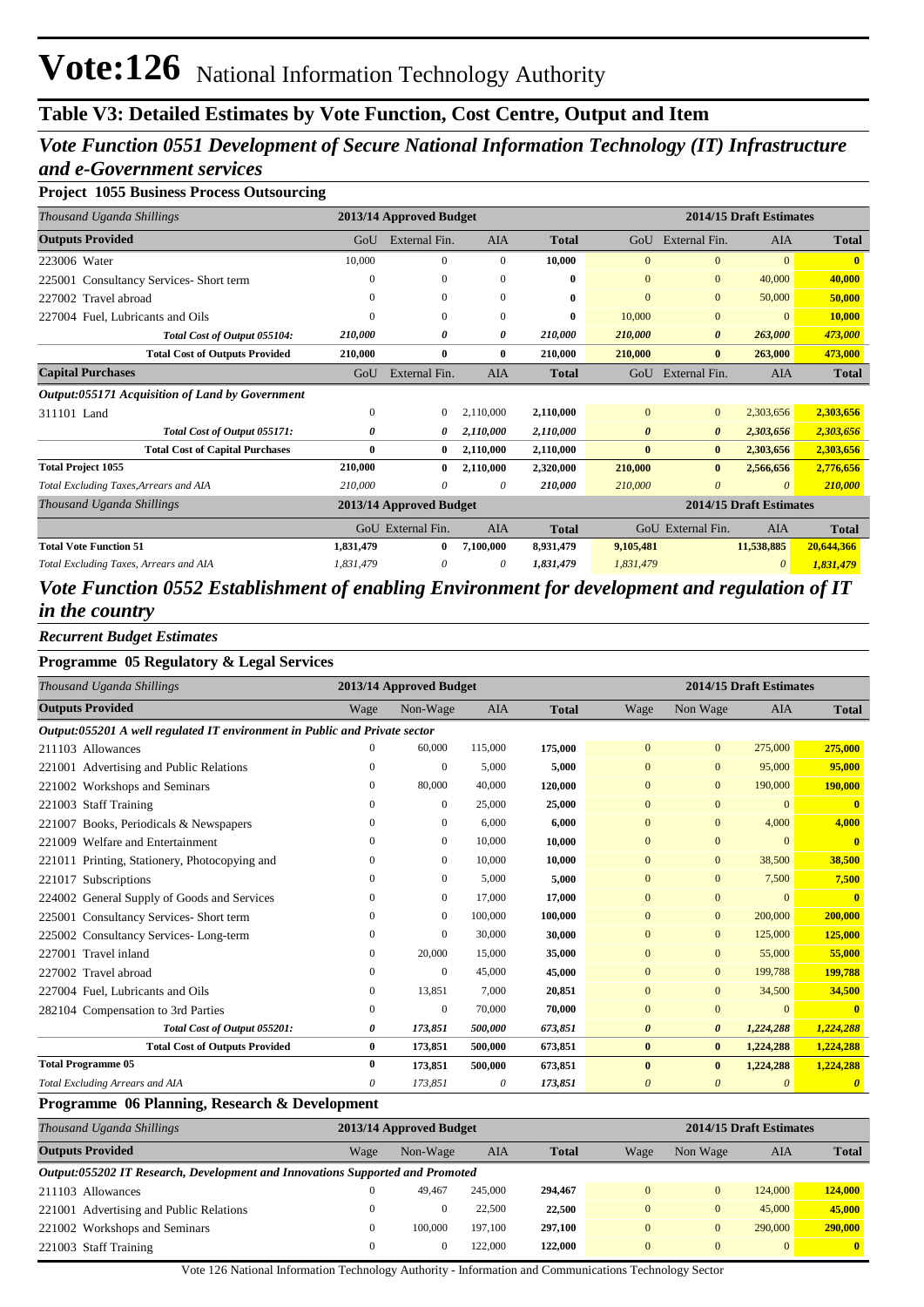## **Table V3: Detailed Estimates by Vote Function, Cost Centre, Output and Item**

## *Vote Function 0551 Development of Secure National Information Technology (IT) Infrastructure and e-Government services*

### **Project 1055 Business Process Outsourcing**

| Thousand Uganda Shillings                       |           | 2013/14 Approved Budget |              |              |                       |                       | 2014/15 Draft Estimates |              |
|-------------------------------------------------|-----------|-------------------------|--------------|--------------|-----------------------|-----------------------|-------------------------|--------------|
| <b>Outputs Provided</b>                         | GoU       | External Fin.           | <b>AIA</b>   | <b>Total</b> | GoU                   | External Fin.         | <b>AIA</b>              | <b>Total</b> |
| 223006 Water                                    | 10,000    | $\mathbf{0}$            | $\Omega$     | 10,000       | $\Omega$              | $\overline{0}$        | $\Omega$                | $\mathbf{0}$ |
| Consultancy Services- Short term<br>225001      | 0         | $\mathbf{0}$            | $\mathbf{0}$ | 0            | $\overline{0}$        | $\mathbf{0}$          | 40,000                  | 40,000       |
| 227002 Travel abroad                            | 0         | $\mathbf{0}$            | $\theta$     | 0            | $\mathbf{0}$          | $\mathbf{0}$          | 50,000                  | 50,000       |
| 227004 Fuel, Lubricants and Oils                | 0         | $\Omega$                | $\Omega$     | 0            | 10,000                | $\mathbf{0}$          | $\Omega$                | 10,000       |
| Total Cost of Output 055104:                    | 210,000   | 0                       | 0            | 210,000      | 210,000               | $\boldsymbol{\theta}$ | 263,000                 | 473,000      |
| <b>Total Cost of Outputs Provided</b>           | 210,000   | $\bf{0}$                | $\mathbf{0}$ | 210,000      | 210,000               | $\bf{0}$              | 263,000                 | 473,000      |
| <b>Capital Purchases</b>                        | GoU       | External Fin.           | AIA          | <b>Total</b> | GoU                   | External Fin.         | <b>AIA</b>              | <b>Total</b> |
| Output:055171 Acquisition of Land by Government |           |                         |              |              |                       |                       |                         |              |
| 311101 Land                                     | 0         | $\mathbf{0}$            | 2,110,000    | 2,110,000    | $\mathbf{0}$          | $\overline{0}$        | 2,303,656               | 2,303,656    |
| Total Cost of Output 055171:                    | 0         | 0                       | 2,110,000    | 2,110,000    | $\boldsymbol{\theta}$ | $\boldsymbol{\theta}$ | 2,303,656               | 2,303,656    |
| <b>Total Cost of Capital Purchases</b>          | 0         | $\bf{0}$                | 2,110,000    | 2,110,000    | $\bf{0}$              | $\bf{0}$              | 2,303,656               | 2,303,656    |
| <b>Total Project 1055</b>                       | 210,000   | 0                       | 2,110,000    | 2,320,000    | 210,000               | $\bf{0}$              | 2,566,656               | 2,776,656    |
| Total Excluding Taxes, Arrears and AIA          | 210,000   | 0                       | $\theta$     | 210,000      | 210,000               | 0                     | $\theta$                | 210,000      |
| Thousand Uganda Shillings                       |           | 2013/14 Approved Budget |              |              |                       |                       | 2014/15 Draft Estimates |              |
|                                                 |           | GoU External Fin.       | AIA          | <b>Total</b> |                       | GoU External Fin.     | AIA                     | <b>Total</b> |
| <b>Total Vote Function 51</b>                   | 1,831,479 | $\bf{0}$                | 7,100,000    | 8,931,479    | 9,105,481             |                       | 11,538,885              | 20,644,366   |
| Total Excluding Taxes, Arrears and AIA          | 1,831,479 | 0                       | $\theta$     | 1,831,479    | 1,831,479             |                       | 0                       | 1,831,479    |
|                                                 |           |                         |              |              |                       |                       |                         |              |

## *Vote Function 0552 Establishment of enabling Environment for development and regulation of IT in the country*

*Recurrent Budget Estimates*

### **Programme 05 Regulatory & Legal Services**

| Thousand Uganda Shillings                                                  |              | 2013/14 Approved Budget |            |              |                       | 2014/15 Draft Estimates |                |              |  |
|----------------------------------------------------------------------------|--------------|-------------------------|------------|--------------|-----------------------|-------------------------|----------------|--------------|--|
| <b>Outputs Provided</b>                                                    | Wage         | Non-Wage                | <b>AIA</b> | <b>Total</b> | Wage                  | Non Wage                | <b>AIA</b>     | <b>Total</b> |  |
| Output:055201 A well regulated IT environment in Public and Private sector |              |                         |            |              |                       |                         |                |              |  |
| 211103 Allowances                                                          |              | 60,000                  | 115,000    | 175,000      | $\mathbf{0}$          | $\mathbf{0}$            | 275,000        | 275,000      |  |
| 221001 Advertising and Public Relations                                    | $\theta$     | $\mathbf{0}$            | 5,000      | 5,000        | $\mathbf{0}$          | $\mathbf{0}$            | 95,000         | 95,000       |  |
| 221002 Workshops and Seminars                                              | $\Omega$     | 80,000                  | 40,000     | 120,000      | $\mathbf{0}$          | $\mathbf{0}$            | 190,000        | 190,000      |  |
| 221003 Staff Training                                                      | 0            | $\mathbf{0}$            | 25,000     | 25,000       | $\overline{0}$        | $\mathbf{0}$            | $\mathbf{0}$   | $\mathbf{0}$ |  |
| 221007 Books, Periodicals & Newspapers                                     | $\Omega$     | $\mathbf{0}$            | 6,000      | 6,000        | $\mathbf{0}$          | $\mathbf{0}$            | 4,000          | 4.000        |  |
| 221009 Welfare and Entertainment                                           | $\Omega$     | $\mathbf{0}$            | 10,000     | 10,000       | $\mathbf{0}$          | $\mathbf{0}$            | $\overline{0}$ | $\mathbf{0}$ |  |
| 221011 Printing, Stationery, Photocopying and                              | $\Omega$     | $\mathbf{0}$            | 10,000     | 10,000       | $\Omega$              | $\mathbf{0}$            | 38,500         | 38,500       |  |
| Subscriptions<br>221017                                                    | $\Omega$     | $\mathbf{0}$            | 5,000      | 5,000        | $\mathbf{0}$          | $\mathbf{0}$            | 7,500          | 7,500        |  |
| General Supply of Goods and Services<br>224002                             | $\mathbf{0}$ | $\mathbf{0}$            | 17,000     | 17,000       | $\mathbf{0}$          | $\overline{0}$          | $\mathbf{0}$   | $\mathbf{0}$ |  |
| 225001 Consultancy Services-Short term                                     | $\Omega$     | $\mathbf{0}$            | 100,000    | 100,000      | $\Omega$              | $\mathbf{0}$            | 200,000        | 200,000      |  |
| 225002 Consultancy Services-Long-term                                      | 0            | $\mathbf{0}$            | 30,000     | 30,000       | $\mathbf{0}$          | $\mathbf{0}$            | 125,000        | 125,000      |  |
| Travel inland<br>227001                                                    | $\Omega$     | 20,000                  | 15,000     | 35,000       | $\mathbf{0}$          | $\mathbf{0}$            | 55,000         | 55,000       |  |
| 227002 Travel abroad                                                       | $\Omega$     | $\overline{0}$          | 45,000     | 45,000       | $\mathbf{0}$          | $\mathbf{0}$            | 199,788        | 199,788      |  |
| 227004 Fuel. Lubricants and Oils                                           | 0            | 13,851                  | 7,000      | 20,851       | $\Omega$              | $\Omega$                | 34,500         | 34,500       |  |
| 282104 Compensation to 3rd Parties                                         | $\mathbf{0}$ | $\overline{0}$          | 70,000     | 70,000       | $\overline{0}$        | $\overline{0}$          | $\Omega$       | $\mathbf{0}$ |  |
| Total Cost of Output 055201:                                               | 0            | 173,851                 | 500,000    | 673,851      | $\boldsymbol{\theta}$ | $\boldsymbol{\theta}$   | 1,224,288      | 1,224,288    |  |
| <b>Total Cost of Outputs Provided</b>                                      | $\bf{0}$     | 173,851                 | 500,000    | 673,851      | $\bf{0}$              | $\bf{0}$                | 1,224,288      | 1,224,288    |  |
| <b>Total Programme 05</b>                                                  | 0            | 173,851                 | 500,000    | 673,851      | $\bf{0}$              | $\bf{0}$                | 1,224,288      | 1,224,288    |  |
| Total Excluding Arrears and AIA                                            | 0            | 173,851                 | 0          | 173,851      | 0                     | $\boldsymbol{\theta}$   | $\theta$       |              |  |

#### **Programme 06 Planning, Research & Development**

| Thousand Uganda Shillings                                                     | 2013/14 Approved Budget |          |         |              |          | 2014/15 Draft Estimates |                |              |  |
|-------------------------------------------------------------------------------|-------------------------|----------|---------|--------------|----------|-------------------------|----------------|--------------|--|
| <b>Outputs Provided</b>                                                       | Wage                    | Non-Wage | AIA     | <b>Total</b> | Wage     | Non Wage                | AIA            | <b>Total</b> |  |
| Output:055202 IT Research, Development and Innovations Supported and Promoted |                         |          |         |              |          |                         |                |              |  |
| 211103 Allowances                                                             |                         | 49.467   | 245,000 | 294,467      | $\Omega$ |                         | 124,000        | 124,000      |  |
| 221001 Advertising and Public Relations                                       |                         | $\theta$ | 22,500  | 22,500       | $\Omega$ |                         | 45,000         | 45,000       |  |
| 221002 Workshops and Seminars                                                 |                         | 100,000  | 197,100 | 297,100      | $\Omega$ |                         | 290,000        | 290,000      |  |
| 221003 Staff Training                                                         |                         | $\theta$ | 122,000 | 122,000      | $\Omega$ |                         | $\overline{0}$ | $\mathbf{0}$ |  |

Vote 126 National Information Technology Authority - Information and Communications Technology Sector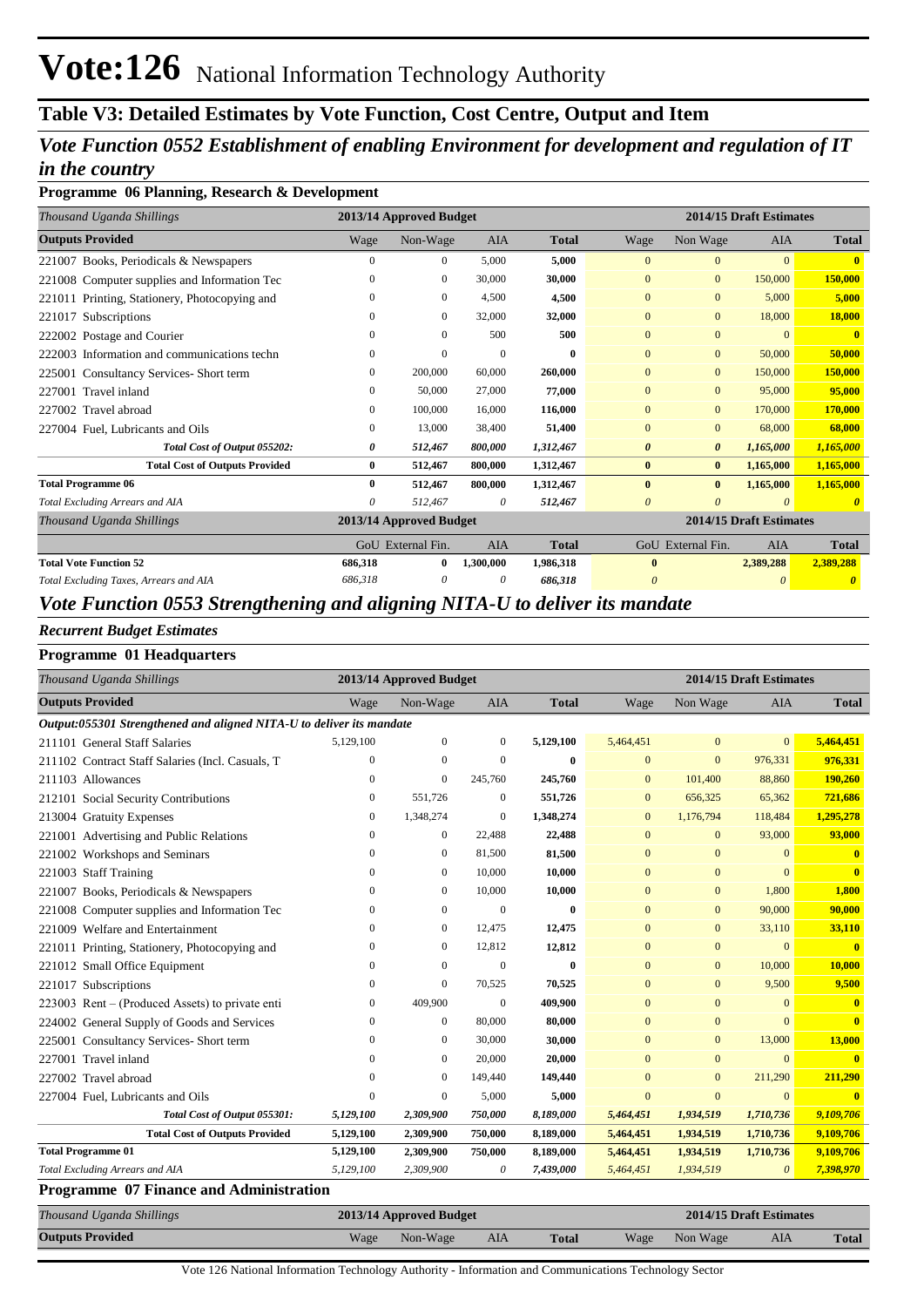## **Table V3: Detailed Estimates by Vote Function, Cost Centre, Output and Item**

## *Vote Function 0552 Establishment of enabling Environment for development and regulation of IT in the country*

### **Programme 06 Planning, Research & Development**

| Thousand Uganda Shillings                     | 2013/14 Approved Budget |                         |            |              |                         | 2014/15 Draft Estimates |            |              |  |  |
|-----------------------------------------------|-------------------------|-------------------------|------------|--------------|-------------------------|-------------------------|------------|--------------|--|--|
| <b>Outputs Provided</b>                       | Wage                    | Non-Wage                | <b>AIA</b> | <b>Total</b> | Wage                    | Non Wage                | <b>AIA</b> | <b>Total</b> |  |  |
| 221007 Books, Periodicals & Newspapers        | 0                       | $\Omega$                | 5,000      | 5,000        | $\Omega$                | $\Omega$                | $\Omega$   |              |  |  |
| 221008 Computer supplies and Information Tec  | $\theta$                | $\mathbf{0}$            | 30,000     | 30,000       | $\Omega$                | $\mathbf{0}$            | 150,000    | 150,000      |  |  |
| 221011 Printing, Stationery, Photocopying and | $\Omega$                | $\mathbf{0}$            | 4,500      | 4,500        | $\mathbf{0}$            | $\overline{0}$          | 5,000      | 5,000        |  |  |
| 221017 Subscriptions                          | 0                       | $\mathbf{0}$            | 32,000     | 32,000       | $\overline{0}$          | $\overline{0}$          | 18,000     | 18,000       |  |  |
| 222002 Postage and Courier                    | 0                       | $\Omega$                | 500        | 500          | $\mathbf{0}$            | $\overline{0}$          | $\Omega$   | $\mathbf{0}$ |  |  |
| 222003 Information and communications techn   | 0                       | $\Omega$                | $\Omega$   | 0            | $\Omega$                | $\overline{0}$          | 50,000     | 50,000       |  |  |
| Consultancy Services- Short term<br>225001    | $\Omega$                | 200,000                 | 60,000     | 260,000      | $\mathbf{0}$            | $\Omega$                | 150,000    | 150,000      |  |  |
| Travel inland<br>227001                       | 0                       | 50,000                  | 27,000     | 77,000       | $\Omega$                | $\mathbf{0}$            | 95,000     | 95,000       |  |  |
| 227002 Travel abroad                          | 0                       | 100,000                 | 16,000     | 116,000      | $\mathbf{0}$            | $\mathbf{0}$            | 170,000    | 170,000      |  |  |
| 227004 Fuel, Lubricants and Oils              | 0                       | 13,000                  | 38,400     | 51,400       | $\Omega$                | $\overline{0}$          | 68,000     | 68,000       |  |  |
| Total Cost of Output 055202:                  | 0                       | 512,467                 | 800,000    | 1,312,467    | $\boldsymbol{\theta}$   | $\boldsymbol{\theta}$   | 1,165,000  | 1,165,000    |  |  |
| <b>Total Cost of Outputs Provided</b>         | 0                       | 512,467                 | 800,000    | 1,312,467    | $\mathbf{0}$            | $\bf{0}$                | 1,165,000  | 1,165,000    |  |  |
| <b>Total Programme 06</b>                     | $\bf{0}$                | 512,467                 | 800,000    | 1,312,467    | $\bf{0}$                | $\bf{0}$                | 1,165,000  | 1,165,000    |  |  |
| Total Excluding Arrears and AIA               | 0                       | 512,467                 | 0          | 512,467      | $\theta$                | $\theta$                | $\Omega$   |              |  |  |
| Thousand Uganda Shillings                     |                         | 2013/14 Approved Budget |            |              | 2014/15 Draft Estimates |                         |            |              |  |  |
|                                               |                         | GoU External Fin.       | <b>AIA</b> | <b>Total</b> |                         | GoU External Fin.       | <b>AIA</b> | <b>Total</b> |  |  |
| <b>Total Vote Function 52</b>                 | 686,318                 | $\bf{0}$                | 1,300,000  | 1,986,318    | $\mathbf{0}$            |                         | 2,389,288  | 2,389,288    |  |  |
| Total Excluding Taxes, Arrears and AIA        | 686,318                 | 0                       | $\theta$   | 686,318      | $\boldsymbol{\theta}$   |                         |            |              |  |  |

## *Vote Function 0553 Strengthening and aligning NITA-U to deliver its mandate*

### *Recurrent Budget Estimates*

## **Programme 01 Headquarters**

| Thousand Uganda Shillings                                            | 2013/14 Approved Budget |                |              |              | 2014/15 Draft Estimates |                |                |              |
|----------------------------------------------------------------------|-------------------------|----------------|--------------|--------------|-------------------------|----------------|----------------|--------------|
| <b>Outputs Provided</b>                                              | Wage                    | Non-Wage       | <b>AIA</b>   | <b>Total</b> | Wage                    | Non Wage       | <b>AIA</b>     | <b>Total</b> |
| Output:055301 Strengthened and aligned NITA-U to deliver its mandate |                         |                |              |              |                         |                |                |              |
| 211101 General Staff Salaries                                        | 5,129,100               | $\mathbf{0}$   | $\mathbf{0}$ | 5,129,100    | 5,464,451               | $\mathbf{0}$   | $\overline{0}$ | 5,464,451    |
| 211102 Contract Staff Salaries (Incl. Casuals, T                     | $\theta$                | $\Omega$       | $\theta$     | $\mathbf{0}$ | $\Omega$                | $\overline{0}$ | 976,331        | 976,331      |
| 211103 Allowances                                                    | $\Omega$                | $\overline{0}$ | 245,760      | 245,760      | $\Omega$                | 101,400        | 88,860         | 190,260      |
| 212101 Social Security Contributions                                 | 0                       | 551,726        | $\mathbf{0}$ | 551,726      | $\mathbf{0}$            | 656,325        | 65,362         | 721,686      |
| 213004 Gratuity Expenses                                             | 0                       | 1,348,274      | $\mathbf{0}$ | 1,348,274    | $\mathbf{0}$            | 1,176,794      | 118,484        | 1,295,278    |
| 221001 Advertising and Public Relations                              | 0                       | $\mathbf{0}$   | 22,488       | 22,488       | $\mathbf{0}$            | $\mathbf{0}$   | 93,000         | 93,000       |
| 221002 Workshops and Seminars                                        | $\Omega$                | $\mathbf{0}$   | 81,500       | 81,500       | $\mathbf{0}$            | $\mathbf{0}$   | $\Omega$       | $\mathbf{0}$ |
| 221003 Staff Training                                                | $\Omega$                | $\mathbf{0}$   | 10,000       | 10,000       | $\mathbf{0}$            | $\overline{0}$ | $\Omega$       | $\mathbf{0}$ |
| 221007 Books, Periodicals & Newspapers                               | 0                       | $\mathbf{0}$   | 10,000       | 10,000       | $\overline{0}$          | $\mathbf{0}$   | 1,800          | 1,800        |
| 221008 Computer supplies and Information Tec                         | 0                       | $\mathbf{0}$   | $\Omega$     | $\mathbf{0}$ | $\mathbf{0}$            | $\mathbf{0}$   | 90,000         | 90,000       |
| 221009 Welfare and Entertainment                                     | $\Omega$                | $\mathbf{0}$   | 12,475       | 12,475       | $\mathbf{0}$            | $\overline{0}$ | 33,110         | 33,110       |
| 221011 Printing, Stationery, Photocopying and                        | $\Omega$                | $\mathbf{0}$   | 12,812       | 12,812       | $\mathbf{0}$            | $\mathbf{0}$   | $\mathbf{0}$   | $\mathbf{0}$ |
| 221012 Small Office Equipment                                        | $\Omega$                | $\Omega$       | $\Omega$     | $\mathbf{0}$ | $\Omega$                | $\mathbf{0}$   | 10,000         | 10.000       |
| 221017 Subscriptions                                                 | 0                       | $\mathbf{0}$   | 70,525       | 70,525       | $\overline{0}$          | $\overline{0}$ | 9,500          | 9,500        |
| 223003 Rent – (Produced Assets) to private enti                      | 0                       | 409,900        | $\Omega$     | 409,900      | $\Omega$                | $\Omega$       | $\Omega$       | $\mathbf{0}$ |
| 224002 General Supply of Goods and Services                          | 0                       | $\mathbf{0}$   | 80,000       | 80,000       | $\Omega$                | $\mathbf{0}$   | $\Omega$       | $\mathbf{0}$ |
| 225001 Consultancy Services- Short term                              | 0                       | $\mathbf{0}$   | 30,000       | 30,000       | $\Omega$                | $\mathbf{0}$   | 13,000         | 13,000       |
| 227001 Travel inland                                                 | $\Omega$                | $\mathbf{0}$   | 20,000       | 20,000       | $\mathbf{0}$            | $\overline{0}$ | $\Omega$       |              |
| 227002 Travel abroad                                                 | 0                       | $\Omega$       | 149,440      | 149,440      | $\Omega$                | $\mathbf{0}$   | 211,290        | 211,290      |
| 227004 Fuel, Lubricants and Oils                                     | $\Omega$                | $\mathbf{0}$   | 5,000        | 5,000        | $\Omega$                | $\mathbf{0}$   | $\mathbf{0}$   | $\mathbf{0}$ |
| Total Cost of Output 055301:                                         | 5,129,100               | 2,309,900      | 750,000      | 8,189,000    | 5,464,451               | 1,934,519      | 1,710,736      | 9,109,706    |
| <b>Total Cost of Outputs Provided</b>                                | 5,129,100               | 2,309,900      | 750,000      | 8,189,000    | 5,464,451               | 1,934,519      | 1,710,736      | 9,109,706    |
| <b>Total Programme 01</b>                                            | 5,129,100               | 2,309,900      | 750,000      | 8,189,000    | 5,464,451               | 1,934,519      | 1,710,736      | 9,109,706    |
| Total Excluding Arrears and AIA                                      | 5,129,100               | 2,309,900      | 0            | 7,439,000    | 5,464,451               | 1,934,519      | 0              | 7,398,970    |

#### **Programme 07 Finance and Administration**

| Thousand Uganda Shillings | 2013/14 Approved Budget |          |     |              |  | 2014/15 Draft Estimates |     |              |  |  |
|---------------------------|-------------------------|----------|-----|--------------|--|-------------------------|-----|--------------|--|--|
| <b>Outputs Provided</b>   | Wage                    | Non-Wage | AIA | <b>Total</b> |  | Wage Non Wage           | AIA | <b>Total</b> |  |  |